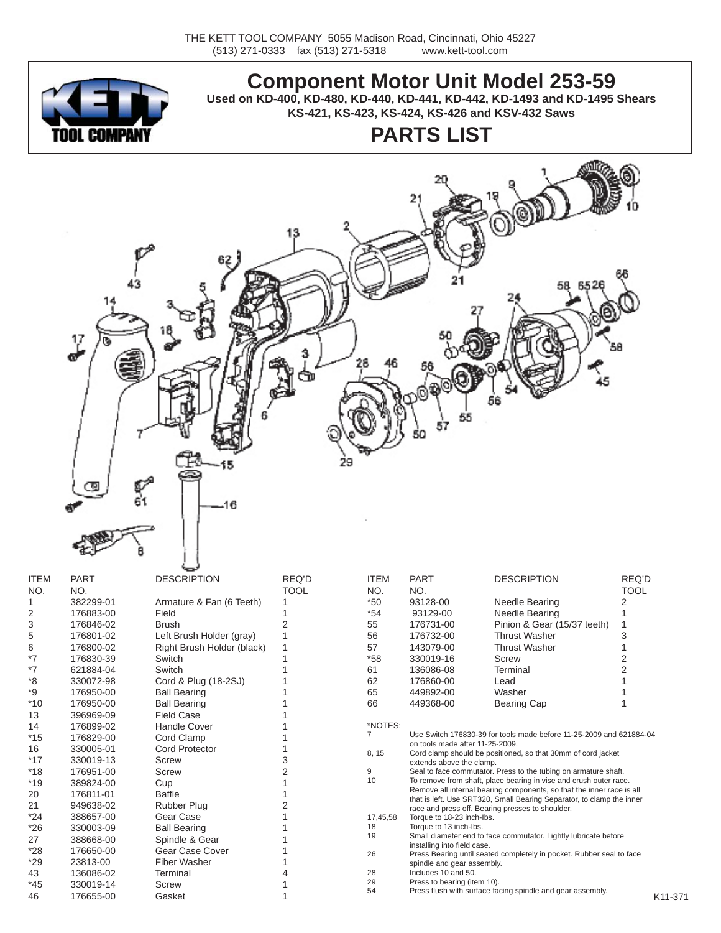

### **Component Motor Unit Model 253-59**

**Used on KD-400, KD-480, KD-440, KD-441, KD-442, KD-1493 and KD-1495 Shears KS-421, KS-423, KS-424, KS-426 and KSV-432 Saws**

# **PARTS LIST**



| <b>ITEM</b> | <b>PART</b> | <b>DESCRIPTION</b>         | REQ'D       | <b>ITEM</b>    | <b>PART</b>                                                                                     | <b>DESCRIPTION</b>                                                                                                        | REQ'D       |  |  |
|-------------|-------------|----------------------------|-------------|----------------|-------------------------------------------------------------------------------------------------|---------------------------------------------------------------------------------------------------------------------------|-------------|--|--|
| NO.         | NO.         |                            | <b>TOOL</b> | NO.            | NO.                                                                                             |                                                                                                                           | <b>TOOL</b> |  |  |
|             | 382299-01   | Armature & Fan (6 Teeth)   |             | $*50$          | 93128-00                                                                                        | Needle Bearing                                                                                                            | 2           |  |  |
| 2           | 176883-00   | Field                      |             | $*54$          | 93129-00                                                                                        | Needle Bearing                                                                                                            |             |  |  |
| 3           | 176846-02   | <b>Brush</b>               |             | 55             | 176731-00                                                                                       | Pinion & Gear (15/37 teeth)                                                                                               |             |  |  |
| 5           | 176801-02   | Left Brush Holder (gray)   |             | 56             | 176732-00                                                                                       | <b>Thrust Washer</b>                                                                                                      | 3           |  |  |
| 6           | 176800-02   | Right Brush Holder (black) |             | 57             | 143079-00                                                                                       | <b>Thrust Washer</b>                                                                                                      |             |  |  |
| *7          | 176830-39   | Switch                     |             | $*58$          | 330019-16                                                                                       | Screw                                                                                                                     |             |  |  |
| *7          | 621884-04   | Switch                     |             | 61             | 136086-08                                                                                       | Terminal                                                                                                                  |             |  |  |
| *8          | 330072-98   | Cord & Plug (18-2SJ)       |             | 62             | 176860-00                                                                                       | Lead                                                                                                                      |             |  |  |
| *9          | 176950-00   | <b>Ball Bearing</b>        |             | 65             | 449892-00                                                                                       | Washer                                                                                                                    |             |  |  |
| $*10$       | 176950-00   | <b>Ball Bearing</b>        |             | 66             | 449368-00                                                                                       | <b>Bearing Cap</b>                                                                                                        |             |  |  |
| 13          | 396969-09   | <b>Field Case</b>          |             |                |                                                                                                 |                                                                                                                           |             |  |  |
| 14          | 176899-02   | <b>Handle Cover</b>        |             | *NOTES:        |                                                                                                 |                                                                                                                           |             |  |  |
| *15         | 176829-00   | Cord Clamp                 |             | $\overline{7}$ | Use Switch 176830-39 for tools made before 11-25-2009 and 621884-04                             |                                                                                                                           |             |  |  |
| 16          | 330005-01   | <b>Cord Protector</b>      |             | 8, 15          | on tools made after 11-25-2009.<br>Cord clamp should be positioned, so that 30mm of cord jacket |                                                                                                                           |             |  |  |
| *17         | 330019-13   | Screw                      |             |                | extends above the clamp.                                                                        |                                                                                                                           |             |  |  |
| $*18$       | 176951-00   | Screw                      |             | 9              |                                                                                                 | Seal to face commutator. Press to the tubing on armature shaft.                                                           |             |  |  |
| *19         | 389824-00   | Cup                        |             | 10             | To remove from shaft, place bearing in vise and crush outer race.                               |                                                                                                                           |             |  |  |
| 20          | 176811-01   | <b>Baffle</b>              |             |                |                                                                                                 | Remove all internal bearing components, so that the inner race is all                                                     |             |  |  |
| 21          | 949638-02   | Rubber Plug                |             |                |                                                                                                 | that is left. Use SRT320, Small Bearing Separator, to clamp the inner<br>race and press off. Bearing presses to shoulder. |             |  |  |
| *24         | 388657-00   | Gear Case                  |             | 17,45,58       | Torque to 18-23 inch-lbs.<br>Torque to 13 inch-lbs.                                             |                                                                                                                           |             |  |  |
| $*26$       | 330003-09   | <b>Ball Bearing</b>        |             | 18             |                                                                                                 |                                                                                                                           |             |  |  |
| 27          | 388668-00   | Spindle & Gear             |             | 19             | Small diameter end to face commutator. Lightly lubricate before                                 |                                                                                                                           |             |  |  |
| $*28$       | 176650-00   | Gear Case Cover            |             | 26             | installing into field case.                                                                     | Press Bearing until seated completely in pocket. Rubber seal to face                                                      |             |  |  |
| *29         | 23813-00    | <b>Fiber Washer</b>        |             |                | spindle and gear assembly.                                                                      |                                                                                                                           |             |  |  |
| 43          | 136086-02   | Terminal                   |             | 28             | Includes 10 and 50.                                                                             |                                                                                                                           |             |  |  |
| $*45$       | 330019-14   | Screw                      |             | 29             | Press to bearing (item 10).                                                                     |                                                                                                                           |             |  |  |
| 46          | 176655-00   | Gasket                     |             | 54             |                                                                                                 | Press flush with surface facing spindle and gear assembly.                                                                | K11-371     |  |  |
|             |             |                            |             |                |                                                                                                 |                                                                                                                           |             |  |  |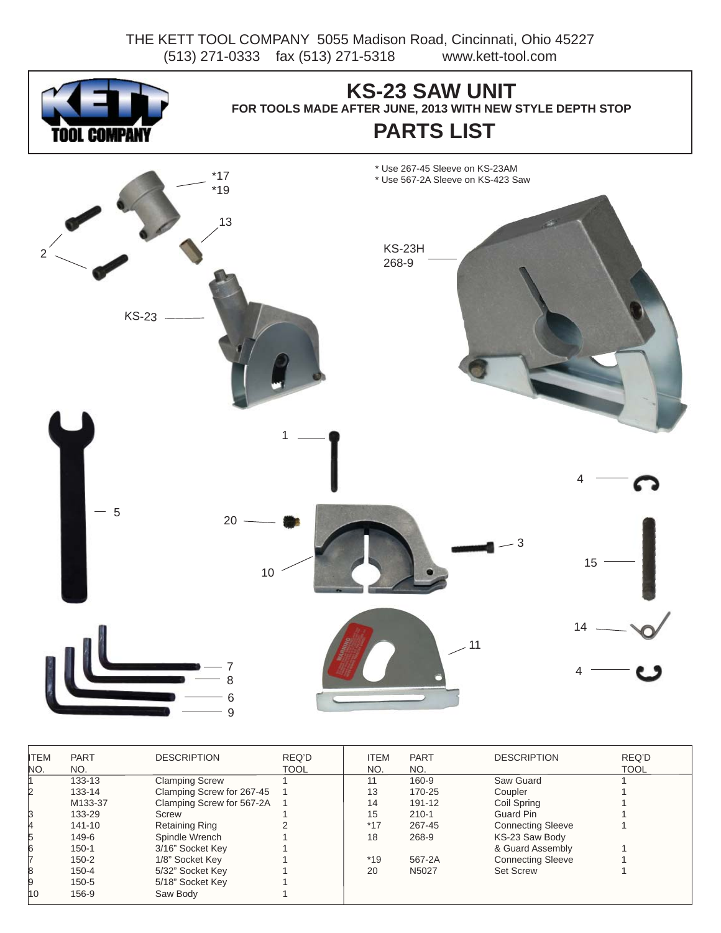THE KETT TOOL COMPANY 5055 Madison Road, Cincinnati, Ohio 45227 (513) 271-0333 fax (513) 271-5318 www.kett-tool.com



| <b>ITEM</b> | <b>PART</b> | <b>DESCRIPTION</b>          | REQ'D       | <b>ITEM</b> | <b>PART</b> | <b>DESCRIPTION</b>       | REQ'D       |
|-------------|-------------|-----------------------------|-------------|-------------|-------------|--------------------------|-------------|
| NO.         | NO.         |                             | <b>TOOL</b> | NO.         | NO.         |                          | <b>TOOL</b> |
|             | 133-13      | <b>Clamping Screw</b>       |             | 11          | 160-9       | Saw Guard                |             |
| 2           | 133-14      | Clamping Screw for 267-45   |             | 13          | 170-25      | Coupler                  |             |
|             | M133-37     | Clamping Screw for 567-2A 1 |             | 14          | 191-12      | Coil Spring              |             |
| B           | 133-29      | Screw                       |             | 15          | $210 - 1$   | Guard Pin                |             |
|             | 141-10      | Retaining Ring              |             | $*17$       | 267-45      | <b>Connecting Sleeve</b> |             |
| 5           | 149-6       | Spindle Wrench              |             | 18          | 268-9       | KS-23 Saw Body           |             |
| 6           | $150 - 1$   | 3/16" Socket Key            |             |             |             | & Guard Assembly         |             |
|             | $150 - 2$   | 1/8" Socket Key             |             | $*19$       | 567-2A      | <b>Connecting Sleeve</b> |             |
| 8           | $150 - 4$   | 5/32" Socket Key            |             | 20          | N5027       | <b>Set Screw</b>         |             |
| 9           | $150 - 5$   | 5/18" Socket Key            |             |             |             |                          |             |
| 10          | 156-9       | Saw Body                    |             |             |             |                          |             |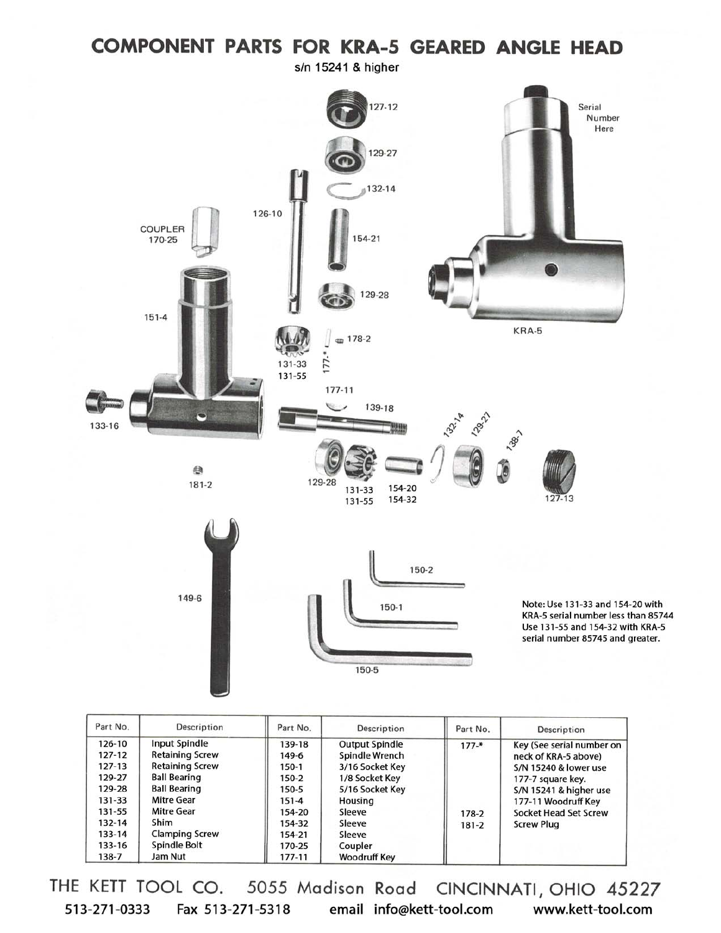### **COMPONENT PARTS FOR KRA-5 GEARED ANGLE HEAD** s/n 15241 & higher  $127 - 12$ Serial Number Here 129-27 132-14 126-10 COUPLER 170-25 154-21 129-28  $151 - 4$ KRA-5  $\equiv 178-2$  $177. *$ 131-33 131-55  $177 - 11$ 139-18  $\overline{\phantom{0}}$ 12921 **13218** 133-16 **Japir** 自 129-28  $181 - 2$ 154-20 131-33 154-32  $127 - 13$ 131-55 150-2 149-6 Note: Use 131-33 and 154-20 with 150-1 KRA-5 serial number less than 85744 Use 131-55 and 154-32 with KRA-5 serial number 85745 and greater. 150-5

| Part No.   | Description            | Part No.  | Description           | Part No.  | Description                      |
|------------|------------------------|-----------|-----------------------|-----------|----------------------------------|
| 126-10     | <b>Input Spindle</b>   | 139-18    | <b>Output Spindle</b> | $177 -$ * | Key (See serial number on        |
| $127 - 12$ | <b>Retaining Screw</b> | 149-6     | Spindle Wrench        |           | neck of KRA-5 above)             |
| 127-13     | <b>Retaining Screw</b> | $150-1$   | 3/16 Socket Key       |           | <b>S/N 15240 &amp; lower use</b> |
| 129-27     | <b>Ball Bearing</b>    | 150-2     | 1/8 Socket Key        |           | 177-7 square key.                |
| 129-28     | <b>Ball Bearing</b>    | 150-5     | 5/16 Socket Key       |           | S/N 15241 & higher use           |
| 131-33     | <b>Mitre Gear</b>      | $151 - 4$ | Housing               |           | 177-11 Woodruff Key              |
| 131-55     | <b>Mitre Gear</b>      | 154-20    | Sleeve                | 178-2     | Socket Head Set Screw            |
| 132-14     | Shim                   | 154-32    | Sleeve                | $181 - 2$ | <b>Screw Plug</b>                |
| 133-14     | <b>Clamping Screw</b>  | 154-21    | Sleeve                |           |                                  |
| 133-16     | Spindle Bolt           | 170-25    | Coupler               |           |                                  |
| 138-7      | Jam Nut                | 177-11    | <b>Woodruff Key</b>   |           |                                  |

THE KETT TOOL CO. 5055 Madison Road CINCINNATI, OHIO 45227 513-271-0333 Fax 513-271-5318 email info@kett-tool.com www.kett-tool.com